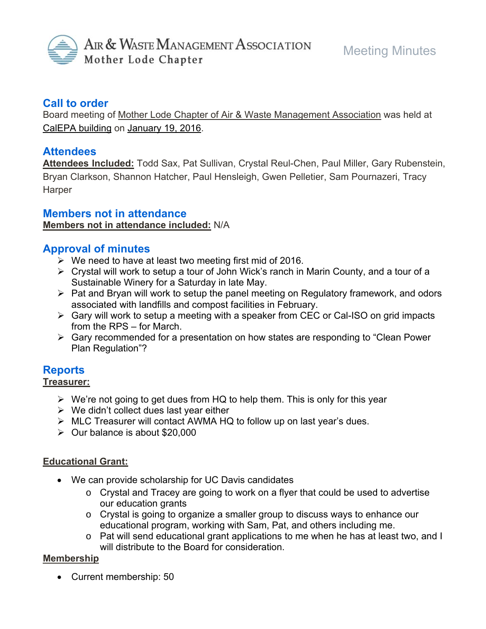

## **Call to order**

Board meeting of Mother Lode Chapter of Air & Waste Management Association was held at CalEPA building on January 19, 2016.

## **Attendees**

**Attendees Included:** Todd Sax, Pat Sullivan, Crystal Reul-Chen, Paul Miller, Gary Rubenstein, Bryan Clarkson, Shannon Hatcher, Paul Hensleigh, Gwen Pelletier, Sam Pournazeri, Tracy **Harper** 

## **Members not in attendance**

**Members not in attendance included:** N/A

## **Approval of minutes**

- $\triangleright$  We need to have at least two meeting first mid of 2016.
- Crystal will work to setup a tour of John Wick's ranch in Marin County, and a tour of a Sustainable Winery for a Saturday in late May.
- $\triangleright$  Pat and Bryan will work to setup the panel meeting on Regulatory framework, and odors associated with landfills and compost facilities in February.
- $\triangleright$  Gary will work to setup a meeting with a speaker from CEC or Cal-ISO on grid impacts from the RPS – for March.
- Gary recommended for a presentation on how states are responding to "Clean Power Plan Regulation"?

# **Reports**

### **Treasurer:**

- $\triangleright$  We're not going to get dues from HQ to help them. This is only for this year
- $\triangleright$  We didn't collect dues last year either
- MLC Treasurer will contact AWMA HQ to follow up on last year's dues.
- $\geq$  Our balance is about \$20,000

### **Educational Grant:**

- We can provide scholarship for UC Davis candidates
	- o Crystal and Tracey are going to work on a flyer that could be used to advertise our education grants
	- o Crystal is going to organize a smaller group to discuss ways to enhance our educational program, working with Sam, Pat, and others including me.
	- o Pat will send educational grant applications to me when he has at least two, and I will distribute to the Board for consideration.

### **Membership**

Current membership: 50